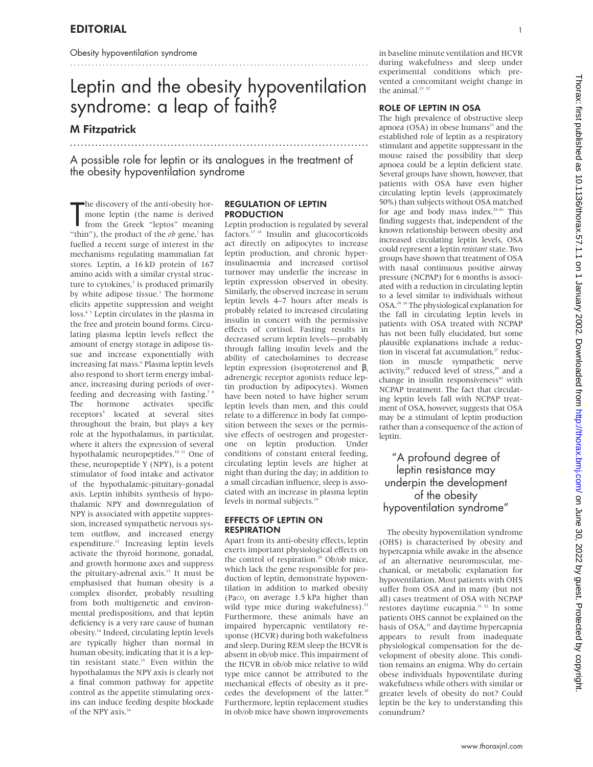Obesity hypoventilation syndrome

# Leptin and the obesity hypoventilation syndrome: a leap of faith?

...................................................................................

...................................................................................

## M Fitzpatrick

A possible role for leptin or its analogues in the treatment of the obesity hypoventilation syndrome

The discovery of the anti-obesity hor-<br>
mone leptin (the name is derived<br>
from the Greek "leptos" meaning<br>
"thin"), the product of the *ob* gene,<sup>1</sup> has he discovery of the anti-obesity hormone leptin (the name is derived from the Greek "leptos" meaning fuelled a recent surge of interest in the mechanisms regulating mammalian fat stores. Leptin, a 16 kD protein of 167 amino acids with a similar crystal structure to cytokines, $2$  is produced primarily by white adipose tissue.<sup>3</sup> The hormone elicits appetite suppression and weight loss.<sup>45</sup> Leptin circulates in the plasma in the free and protein bound forms. Circulating plasma leptin levels reflect the amount of energy storage in adipose tissue and increase exponentially with increasing fat mass.<sup>6</sup> Plasma leptin levels also respond to short term energy imbalance, increasing during periods of overfeeding and decreasing with fasting.<sup>7</sup> The hormone activates specific receptors<sup>9</sup> located at several sites throughout the brain, but plays a key role at the hypothalamus, in particular, where it alters the expression of several hypothalamic neuropeptides.10 11 One of these, neuropeptide Y (NPY), is a potent stimulator of food intake and activator of the hypothalamic-pituitary-gonadal axis. Leptin inhibits synthesis of hypothalamic NPY and downregulation of NPY is associated with appetite suppression, increased sympathetic nervous system outflow, and increased energy expenditure.<sup>12</sup> Increasing leptin levels activate the thyroid hormone, gonadal, and growth hormone axes and suppress the pituitary-adrenal axis.13 It must be emphasised that human obesity is a complex disorder, probably resulting from both multigenetic and environmental predispositions, and that leptin deficiency is a very rare cause of human obesity.14 Indeed, circulating leptin levels are typically higher than normal in human obesity, indicating that it is a leptin resistant state.<sup>15</sup> Even within the hypothalamus the NPY axis is clearly not a final common pathway for appetite control as the appetite stimulating orexins can induce feeding despite blockade of the NPY axis.<sup>16</sup>

#### REGULATION OF LEPTIN PRODUCTION

Leptin production is regulated by several factors.<sup>17</sup><sup>18</sup> Insulin and glucocorticoids act directly on adipocytes to increase leptin production, and chronic hyperinsulinaemia and increased cortisol turnover may underlie the increase in leptin expression observed in obesity. Similarly, the observed increase in serum leptin levels 4–7 hours after meals is probably related to increased circulating insulin in concert with the permissive effects of cortisol. Fasting results in decreased serum leptin levels—probably through falling insulin levels and the ability of catecholamines to decrease leptin expression (isoproterenol and  $β_3$ adrenergic receptor agonists reduce leptin production by adipocytes). Women have been noted to have higher serum leptin levels than men, and this could relate to a difference in body fat composition between the sexes or the permissive effects of oestrogen and progesterone on leptin production. Under conditions of constant enteral feeding, circulating leptin levels are higher at night than during the day; in addition to a small circadian influence, sleep is associated with an increase in plasma leptin levels in normal subjects.<sup>1</sup>

#### EFFECTS OF LEPTIN ON RESPIRATION

Apart from its anti-obesity effects, leptin exerts important physiological effects on the control of respiration.<sup>20</sup> Ob/ob mice, which lack the gene responsible for production of leptin, demonstrate hypoventilation in addition to marked obesity (Paco<sub>2</sub> on average  $1.5$  kPa higher than wild type mice during wakefulness).<sup>21</sup> Furthermore, these animals have an impaired hypercapnic ventilatory response (HCVR) during both wakefulness and sleep. During REM sleep the HCVR is absent in ob/ob mice. This impairment of the HCVR in ob/ob mice relative to wild type mice cannot be attributed to the mechanical effects of obesity as it precedes the development of the latter.<sup>20</sup> Furthermore, leptin replacement studies in ob/ob mice have shown improvements

in baseline minute ventilation and HCVR during wakefulness and sleep under experimental conditions which prevented a concomitant weight change in the animal. $21$   $22$ 

### ROLE OF LEPTIN IN OSA

The high prevalence of obstructive sleep apnoea (OSA) in obese humans $23$  and the established role of leptin as a respiratory stimulant and appetite suppressant in the mouse raised the possibility that sleep apnoea could be a leptin deficient state. Several groups have shown, however, that patients with OSA have even higher circulating leptin levels (approximately 50%) than subjects without OSA matched for age and body mass index.<sup>24-26</sup> This finding suggests that, independent of the known relationship between obesity and increased circulating leptin levels, OSA could represent a leptin *resistant* state. Two groups have shown that treatment of OSA with nasal continuous positive airway pressure (NCPAP) for 6 months is associated with a reduction in circulating leptin to a level similar to individuals without OSA.24 26 The physiological explanation for the fall in circulating leptin levels in patients with OSA treated with NCPAP has not been fully elucidated, but some plausible explanations include a reduction in visceral fat accumulation,<sup>27</sup> reduction in muscle sympathetic nerve activity, $28$  reduced level of stress, $29$  and a change in insulin responsiveness $30$  with NCPAP treatment. The fact that circulating leptin levels fall with NCPAP treatment of OSA, however, suggests that OSA may be a stimulant of leptin production rather than a consequence of the action of leptin.

# "A profound degree of leptin resistance may underpin the development of the obesity hypoventilation syndrome"

The obesity hypoventilation syndrome (OHS) is characterised by obesity and hypercapnia while awake in the absence of an alternative neuromuscular, mechanical, or metabolic explanation for hypoventilation. Most patients with OHS suffer from OSA and in many (but not all) cases treatment of OSA with NCPAP restores daytime eucapnia.31 32 In some patients OHS cannot be explained on the basis of OSA,<sup>33</sup> and daytime hypercapnia appears to result from inadequate physiological compensation for the development of obesity alone. This condition remains an enigma. Why do certain obese individuals hypoventilate during wakefulness while others with similar or greater levels of obesity do not? Could leptin be the key to understanding this conundrum?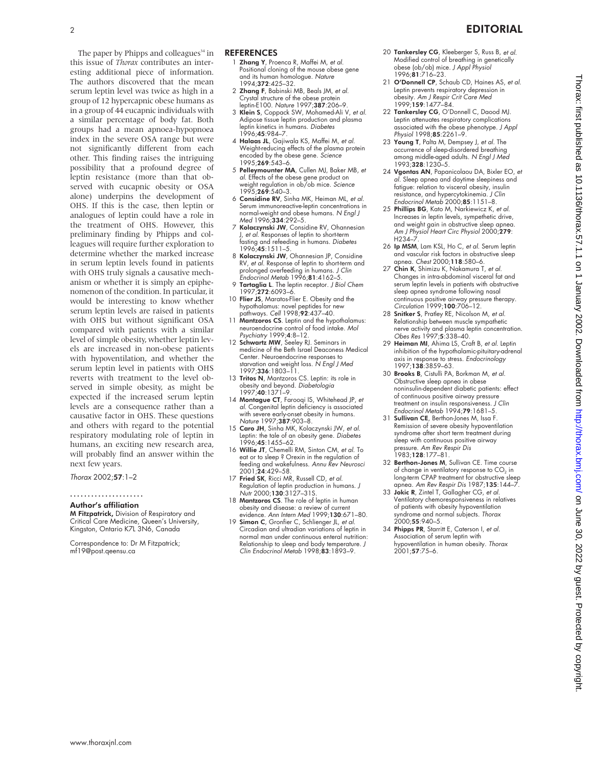The paper by Phipps and colleagues $34$  in this issue of *Thorax* contributes an interesting additional piece of information. The authors discovered that the mean serum leptin level was twice as high in a group of 12 hypercapnic obese humans as in a group of 44 eucapnic individuals with a similar percentage of body fat. Both groups had a mean apnoea-hypopnoea index in the severe OSA range but were not significantly different from each other. This finding raises the intriguing possibility that a profound degree of leptin resistance (more than that observed with eucapnic obesity or OSA alone) underpins the development of OHS. If this is the case, then leptin or analogues of leptin could have a role in the treatment of OHS. However, this preliminary finding by Phipps and colleagues will require further exploration to determine whether the marked increase in serum leptin levels found in patients with OHS truly signals a causative mechanism or whether it is simply an epiphenomenon of the condition. In particular, it would be interesting to know whether serum leptin levels are raised in patients with OHS but without significant OSA compared with patients with a similar level of simple obesity, whether leptin levels are increased in non-obese patients with hypoventilation, and whether the serum leptin level in patients with OHS reverts with treatment to the level observed in simple obesity, as might be expected if the increased serum leptin levels are a consequence rather than a causative factor in OHS. These questions and others with regard to the potential respiratory modulating role of leptin in humans, an exciting new research area, will probably find an answer within the next few years.

Thorax 2002;57:1–2

#### .....................

#### Author's affiliation

M Fitzpatrick, Division of Respiratory and Critical Care Medicine, Queen's University, Kingston, Ontario K7L 3N6, Canada

Correspondence to: Dr M Fitzpatrick; mf19@post.qeensu.ca

#### REFERENCES

- 1 Zhana Y, Proenca R, Maffei M, et al. Positional cloning of the mouse obese gene and its human homologue. Nature 1994;372:425–32.
- 2 Zhang F, Babinski MB, Beals JM, et al. Crystal structure of the obese protein leptin-E100. Nature 1997;387:206–9.
- 3 Klein S, Coppack SW, Mohamed-Ali V, et al. Adipose tissue leptin production and plasma leptin kinetics in humans. Diabetes 1996;45:984–7.
- 4 Halaas JL, Gajiwala KS, Maffei M, et al. Weight-reducing effects of the plasma protein encoded by the obese gene. Science 1995;269:543–6.
- 5 Pelleymounter MA, Cullen MJ, Baker MB, et al. Effects of the obese gene product on weight regulation in ob/ob mice. Science 1995;269:540–3.
- 6 Considine RV, Sinha MK, Heiman ML, et al. Serum immunoreactive-leptin concentrations in normal-weight and obese humans. *N Engl J*<br>*Med* 1996;**334**:292–5.
- 7 Kolaczynski JW, Considine RV, Ohannesian J, et al. Responses of leptin to short-term fasting and refeeding in humans. Diabetes 1996;45:1511–5.
- 8 Kolaczynski JW, Ohannesian JP, Considine RV, et al. Response of leptin to short-term and prolonged overfeeding in humans. *J Clin*<br>Endocrinol Metab 1996;**81**:4162–5.<br>9 **Tartaglia L**. The leptin receptor. *J Biol Chem*
- 1997;272:6093–6.
- 10 Flier JS, Maratos-Flier E. Obesity and the hypothalamus: novel peptides for new pathways. Cell 1998;92:437–40.
- 11 Mantzoros CS. Leptin and the hypothalamus: neuroendocrine control of food intake. Mol Psychiatry 1999;4:8–12.
- 12 Schwartz MW, Seeley RJ. Seminars in medicine of the Beth Israel Deaconess Medical Center. Neuroendocrine responses to starvation and weight loss. *N Engl J Med*<br>1997;**336**:1803–11.
- 13 Tritos N, Mantzoros CS. Leptin: its role in obesity and beyond. Diabetologia 1997;40:1371–9.
- 14 Montague CT, Farooqi IS, Whitehead JP, et al. Congenital leptin deficiency is associated with severe early-onset obesity in humans. Nature 1997;387:903–8.
- 15 Caro JH, Sinha MK, Kolaczynski JW, et al. Leptin: the tale of an obesity gene. Diabetes 1996;45:1455–62.
- 16 Willie JT, Chemelli RM, Sinton CM, et al. To eat or to sleep ? Orexin in the regulation of feeding and wakefulness. Annu Rev Neurosci 2001;24:429–58.
- 17 Fried SK, Ricci MR, Russell CD, et al. Regulation of leptin production in humans. J Nutr 2000;130:3127-31S.
- 18 Mantzoros CS. The role of leptin in human obesity and disease: a review of current evidence. Ann Intern Med 1999;130:671–80.
- 19 Simon C, Gronfier C, Schlienger JL, et al. Circadian and ultradian variations of leptin in normal man under continuous enteral nutrition: Relationship to sleep and body temperature. J Clin Endocrinol Metab 1998;83:1893–9.
- 20 Tankersley CG, Kleeberger S, Russ B, et al. Modified control of breathing in genetically obese (ob/ob) mice. J Appl Physiol 1996;**81**:716–23.
- 21 O'Donnell CP, Schaub CD, Haines AS, et al. Leptin prevents respiratory depression in obesity. Am J Respir Crit Care Med 1999;159:1477–84.
- 22 Tankersley CG, O'Donnell C, Daood MJ. Leptin attenuates respiratory complications associated with the obese phenotype. J Appl Physiol 1998;85:2261–9.
- 23 Young T, Palta M, Dempsey J, et al. The occurrence of sleep-disordered breathing among middle-aged adults. N Engl J Med 1993;328:1230–5.
- 24 Vgontas AN, Papanicolaou DA, Bixler EO, et al. Sleep apnea and daytime sleepiness and fatigue: relation to visceral obesity, insulin resistance, and hypercytokinemia. J Clin Endocrinol Metab 2000;85:1151–8.
- 25 Phillips BG, Kato M, Narkiewicz K, et al. Increases in leptin levels, sympethetic drive, and weight gain in obstructive sleep apnea. Am J Physiol Heart Circ Physiol 2000;**279**:<br>H234–7.
- 26 Ip MSM, Lam KSL, Ho C, et al. Serum leptin and vascular risk factors in obstructive sleep apnea. Chest 2000;118:580–6.
- 27 Chin K, Shimizu K, Nakamura T, et al. Changes in intra-abdominal visceral fat and serum leptin levels in patients with obstructive sleep apnea syndrome following nasal continuous positive airway pressure therapy. Circulation 1999;100:706–12.
- 28 Snitker S, Pratley RE, Nicolson M, et al. Relationship between muscle sympathetic nerve activity and plasma leptin concentration. Obes Res 1997;5:338–40.
- 29 Heiman MI, Ahima LS, Craft B, et al. Leptin inhibition of the hypothalamic-pituitary-adrenal axis in response to stress. Endocrinology 1997;138:3859–63.
- 30 Brooks B, Cistulli PA, Borkman M, et al. Obstructive sleep apnea in obese noninsulin-dependent diabetic patients: effect of continuous positive airway pressure treatment on insulin responsiveness. J Clin Endocrinol Metab 1994;79:1681–5.
- 31 Sullivan CE, Berthon-Jones M, Issa F. Remission of severe obesity hypoventilation syndrome after short term treatment during sleep with continuous positive airway pressure. Am Rev Respir Dis 1983;128:177-81.
- 32 Berthon-Jones M, Sullivan CE. Time course of change in ventilatory response to  $CO<sub>2</sub>$  in long-term CPAP treatment for obstructive sleep apnea. Am Rev Respir Dis 1987;135:144–7.
- 33 Jokic R, Zintel T, Gallagher CG, et al. Ventilatory chemoresponsiveness in relatives of patients with obesity hypoventilation syndrome and normal subjects. Thorax 2000;55:940–5.
- 34 Phipps PR, Starritt E, Caterson I, et al. Association of serum leptin with hypoventilation in human obesity. Thorax 2001;57:75–6.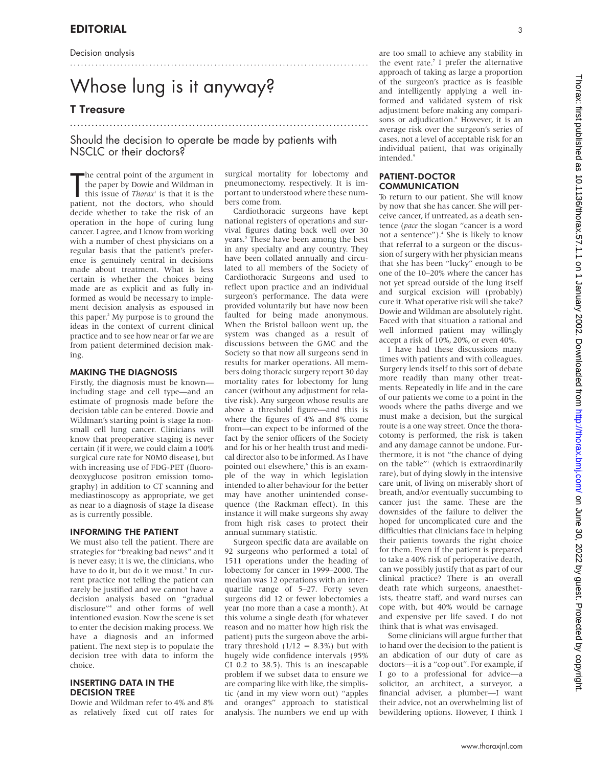Decision analysis

# Whose lung is it anyway?

...................................................................................

### T Treasure

# Should the decision to operate be made by patients with NSCLC or their doctors?

...................................................................................

The central point of the argument in<br>the paper by Dowie and Wildman in<br>this issue of *Thorax*<sup>1</sup> is that it is the<br>patient, not the doctors, who should he central point of the argument in the paper by Dowie and Wildman in this issue of *Thorax*<sup>1</sup> is that it is the decide whether to take the risk of an operation in the hope of curing lung cancer. I agree, and I know from working with a number of chest physicians on a regular basis that the patient's preference is genuinely central in decisions made about treatment. What is less certain is whether the choices being made are as explicit and as fully informed as would be necessary to implement decision analysis as espoused in this paper. $<sup>2</sup>$  My purpose is to ground the</sup> ideas in the context of current clinical practice and to see how near or far we are from patient determined decision making.

#### MAKING THE DIAGNOSIS

Firstly, the diagnosis must be known including stage and cell type—and an estimate of prognosis made before the decision table can be entered. Dowie and Wildman's starting point is stage Ia nonsmall cell lung cancer. Clinicians will know that preoperative staging is never certain (if it were, we could claim a 100% surgical cure rate for N0M0 disease), but with increasing use of FDG-PET (fluorodeoxyglucose positron emission tomography) in addition to CT scanning and mediastinoscopy as appropriate, we get as near to a diagnosis of stage Ia disease as is currently possible.

#### INFORMING THE PATIENT

We must also tell the patient. There are strategies for "breaking bad news" and it is never easy; it is we, the clinicians, who have to do it, but do it we must.<sup>3</sup> In current practice not telling the patient can rarely be justified and we cannot have a decision analysis based on "gradual disclosure"4 and other forms of well intentioned evasion. Now the scene is set to enter the decision making process. We have a diagnosis and an informed patient. The next step is to populate the decision tree with data to inform the choice.

#### INSERTING DATA IN THE DECISION TREE

Dowie and Wildman refer to 4% and 8% as relatively fixed cut off rates for

surgical mortality for lobectomy and pneumonectomy, respectively. It is important to understood where these numbers come from.

Cardiothoracic surgeons have kept national registers of operations and survival figures dating back well over 30 years.<sup>5</sup> These have been among the best in any specialty and any country. They have been collated annually and circulated to all members of the Society of Cardiothoracic Surgeons and used to reflect upon practice and an individual surgeon's performance. The data were provided voluntarily but have now been faulted for being made anonymous. When the Bristol balloon went up, the system was changed as a result of discussions between the GMC and the Society so that now all surgeons send in results for marker operations. All members doing thoracic surgery report 30 day mortality rates for lobectomy for lung cancer (without any adjustment for relative risk). Any surgeon whose results are above a threshold figure—and this is where the figures of 4% and 8% come from—can expect to be informed of the fact by the senior officers of the Society and for his or her health trust and medical director also to be informed. As I have pointed out elsewhere,<sup>6</sup> this is an example of the way in which legislation intended to alter behaviour for the better may have another unintended consequence (the Rackman effect). In this instance it will make surgeons shy away from high risk cases to protect their annual summary statistic.

Surgeon specific data are available on 92 surgeons who performed a total of 1511 operations under the heading of lobectomy for cancer in 1999–2000. The median was 12 operations with an interquartile range of 5–27. Forty seven surgeons did 12 or fewer lobectomies a year (no more than a case a month). At this volume a single death (for whatever reason and no matter how high risk the patient) puts the surgeon above the arbitrary threshold  $(1/12 = 8.3\%)$  but with hugely wide confidence intervals (95% CI 0.2 to 38.5). This is an inescapable problem if we subset data to ensure we are comparing like with like, the simplistic (and in my view worn out) "apples and oranges" approach to statistical analysis. The numbers we end up with

are too small to achieve any stability in the event rate.<sup>7</sup> I prefer the alternative approach of taking as large a proportion of the surgeon's practice as is feasible and intelligently applying a well informed and validated system of risk adjustment before making any comparisons or adjudication.<sup>8</sup> However, it is an average risk over the surgeon's series of cases, not a level of acceptable risk for an individual patient, that was originally intended<sup>9</sup>

#### PATIENT-DOCTOR COMMUNICATION

To return to our patient. She will know by now that she has cancer. She will perceive cancer, if untreated, as a death sentence (*pace* the slogan "cancer is a word not a sentence").<sup>4</sup> She is likely to know that referral to a surgeon or the discussion of surgery with her physician means that she has been "lucky" enough to be one of the 10–20% where the cancer has not yet spread outside of the lung itself and surgical excision will (probably) cure it. What operative risk will she take? Dowie and Wildman are absolutely right. Faced with that situation a rational and well informed patient may willingly accept a risk of 10%, 20%, or even 40%.

I have had these discussions many times with patients and with colleagues. Surgery lends itself to this sort of debate more readily than many other treatments. Repeatedly in life and in the care of our patients we come to a point in the woods where the paths diverge and we must make a decision, but the surgical route is a one way street. Once the thoracotomy is performed, the risk is taken and any damage cannot be undone. Furthermore, it is not "the chance of dying on the table"1 (which is extraordinarily rare), but of dying slowly in the intensive care unit, of living on miserably short of breath, and/or eventually succumbing to cancer just the same. These are the downsides of the failure to deliver the hoped for uncomplicated cure and the difficulties that clinicians face in helping their patients towards the right choice for them. Even if the patient is prepared to take a 40% risk of perioperative death, can we possibly justify that as part of our clinical practice? There is an overall death rate which surgeons, anaesthetists, theatre staff, and ward nurses can cope with, but 40% would be carnage and expensive per life saved. I do not think that is what was envisaged.

Some clinicians will argue further that to hand over the decision to the patient is an abdication of our duty of care as doctors—it is a "cop out". For example, if I go to a professional for advice—a solicitor, an architect, a surveyor, a financial adviser, a plumber—I want their advice, not an overwhelming list of bewildering options. However, I think I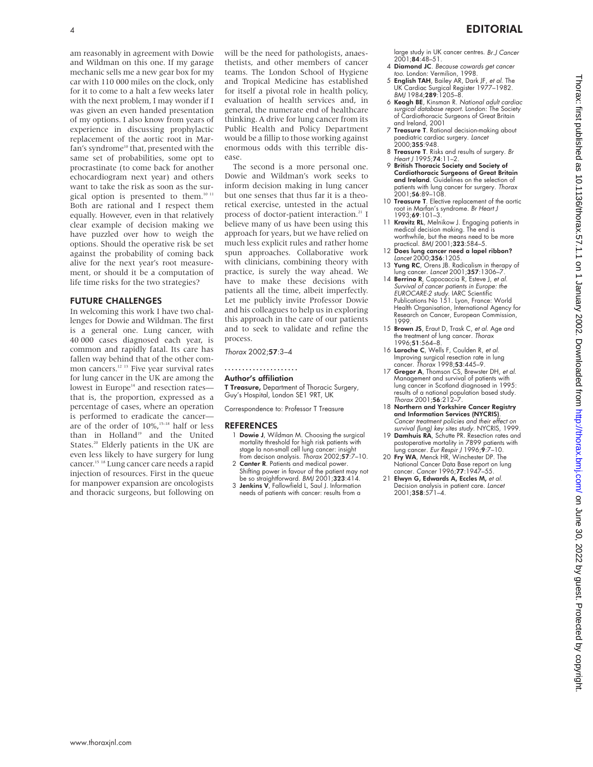am reasonably in agreement with Dowie and Wildman on this one. If my garage mechanic sells me a new gear box for my car with 110 000 miles on the clock, only for it to come to a halt a few weeks later with the next problem, I may wonder if I was given an even handed presentation of my options. I also know from years of experience in discussing prophylactic replacement of the aortic root in Marfan's syndrome<sup>10</sup> that, presented with the same set of probabilities, some opt to procrastinate (to come back for another echocardiogram next year) and others want to take the risk as soon as the surgical option is presented to them.<sup>10 11</sup> Both are rational and I respect them equally. However, even in that relatively clear example of decision making we have puzzled over how to weigh the options. Should the operative risk be set against the probability of coming back alive for the next year's root measurement, or should it be a computation of life time risks for the two strategies?

#### FUTURE CHALLENGES

In welcoming this work I have two challenges for Dowie and Wildman. The first is a general one. Lung cancer, with 40 000 cases diagnosed each year, is common and rapidly fatal. Its care has fallen way behind that of the other common cancers.<sup>12 13</sup> Five year survival rates for lung cancer in the UK are among the lowest in Europe<sup>14</sup> and resection ratesthat is, the proportion, expressed as a percentage of cases, where an operation is performed to eradicate the cancer are of the order of  $10\%$ ,<sup>15–18</sup> half or less than in Holland<sup>19</sup> and the United States.<sup>20</sup> Elderly patients in the UK are even less likely to have surgery for lung cancer.15 18 Lung cancer care needs a rapid injection of resources. First in the queue for manpower expansion are oncologists and thoracic surgeons, but following on

will be the need for pathologists, anaesthetists, and other members of cancer teams. The London School of Hygiene and Tropical Medicine has established for itself a pivotal role in health policy, evaluation of health services and, in general, the numerate end of healthcare thinking. A drive for lung cancer from its Public Health and Policy Department would be a fillip to those working against enormous odds with this terrible disease.

The second is a more personal one. Dowie and Wildman's work seeks to inform decision making in lung cancer but one senses that thus far it is a theoretical exercise, untested in the actual process of doctor-patient interaction.<sup>21</sup> I believe many of us have been using this approach for years, but we have relied on much less explicit rules and rather home spun approaches. Collaborative work with clinicians, combining theory with practice, is surely the way ahead. We have to make these decisions with patients all the time, albeit imperfectly. Let me publicly invite Professor Dowie and his colleagues to help us in exploring this approach in the care of our patients and to seek to validate and refine the process.

Thorax 2002;57:3–4

#### .....................

#### Author's affiliation

T Treasure, Department of Thoracic Surgery, Guy's Hospital, London SE1 9RT, UK

Correspondence to: Professor T Treasure

#### REFERENCES

- 1 **Dowie J**, Wildman M. Choosing the surgical mortality threshold for high risk patients with stage Ia non-small cell lung cancer: insight from decison analysis. Thorax 2002;57:7-10.
- 2 Canter R. Patients and medical power. Shifting power in favour of the patient may not be so straightforward. BMJ 2001;323:414.
- 3 Jenkins V, Fallowfield L, Saul J. Information needs of patients with cancer: results from a

large study in UK cancer centres. Br.J Cancer 2001;84:48–51.

- 4 **Diamond JC**. Because cowards get cancer
- too. London: Vermilion, 1998.<br>5 **English TAH**, Bailey AR, Dark JF, *et al*. The<br>UK Cardiac Surgical Register 1977–1982.<br>BMJ 1984;**289**:1205–8.
- 6 Keogh BE, Kinsman R. National adult cardiac surgical database report. London: The Society of Cardiothoracic Surgeons of Great Britain and Ireland, 2001
- 7 Treasure T. Rational decision-making about paediatric cardiac surgery. Lancet  $2000.355.948$
- 8 Treasure T. Risks and results of surgery. Br Heart J 1995;74:11-2.
- 9 British Thoracic Society and Society of Cardiothoracic Surgeons of Great Britain and Ireland. Guidelines on the selection of patients with lung cancer for surgery. Thorax 2001;56:89–108.
- 10 Treasure T. Elective replacement of the aortic root in Marfan's syndrome. *Br Heart J*<br>1993;**69**:101–3.
- 11 Kravitz RL, Melnikow J. Engaging patients in medical decision making. The end is worthwhile, but the means need to be more practical. BMJ 2001;**323**:584–5.
- 12 Does lung cancer need a lapel ribbon? Lancet 2000;356:1205.
- 13 Yung RC, Orens JB. Radicalism in therapy of lung cancer. Lancet 2001;357:1306–7.
- 14 Berrino R, Capocaccia R, Esteve J, et al. Survival of cancer patients in Europe: the EUROCARE-2 study. IARC Scientific Publications No 151. Lyon, France: World Health Organisation, International Agency for Research on Cancer, European Commission, 1999.
- 15 Brown JS, Eraut D, Trask C, et al. Age and the treatment of lung cancer. Thorax 1996;51:564–8.
- 16 Laroche C, Wells F, Coulden R, et al. Improving surgical resection rate in lung<br>cancer. *Thorax* 1998;**53**:445–9.
- 17 Gregor A, Thomson CS, Brewster DH, et al. Management and survival of patients with lung cancer in Scotland diagnosed in 1995: results of a national population based study.
- Thorax 2001;56:212–7. 18 Northern and Yorkshire Cancer Registry and Information Services (NYCRIS). Cancer treatment policies and their effect on survival (lung) key sites study. NYCRIS, 1999.
- 19 Damhuis RA, Schutte PR. Resection rates and postoperative mortality in 7899 patients with lung cancer. Eur Respir J 1996;9:7–10.
- 20 Fry WA, Menck HR, Winchester DP. The National Cancer Data Base report on lung cancer. Cancer 1996;77:1947–55.
- Elwyn G, Edwards A, Eccles M, et al. Decision analysis in patient care. Lancet 2001;358:571–4.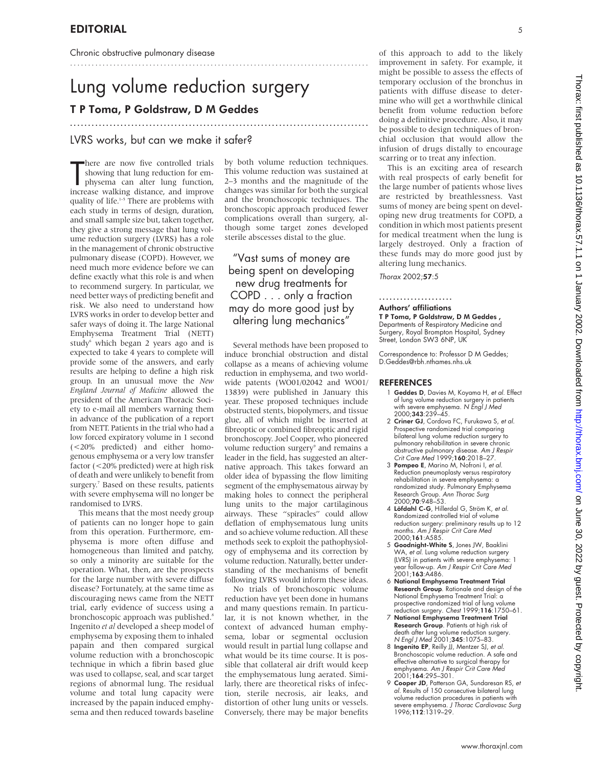Chronic obstructive pulmonary disease

# Lung volume reduction surgery T P Toma, P Goldstraw, D M Geddes

...................................................................................

# LVRS works, but can we make it safer?

There are now five controlled trials<br>showing that lung reduction for em-<br>physema can alter lung function,<br>increase walking distance, and improve here are now five controlled trials showing that lung reduction for emphysema can alter lung function, quality of life.1–5 There are problems with each study in terms of design, duration, and small sample size but, taken together, they give a strong message that lung volume reduction surgery (LVRS) has a role in the management of chronic obstructive pulmonary disease (COPD). However, we need much more evidence before we can define exactly what this role is and when to recommend surgery. In particular, we need better ways of predicting benefit and risk. We also need to understand how LVRS works in order to develop better and safer ways of doing it. The large National Emphysema Treatment Trial (NETT) study $6$  which began 2 years ago and is expected to take 4 years to complete will provide some of the answers, and early results are helping to define a high risk group. In an unusual move the *New England Journal of Medicine* allowed the president of the American Thoracic Society to e-mail all members warning them in advance of the publication of a report from NETT. Patients in the trial who had a low forced expiratory volume in 1 second (<20% predicted) and either homogenous emphysema or a very low transfer factor (<20% predicted) were at high risk of death and were unlikely to benefit from surgery.<sup>7</sup> Based on these results, patients with severe emphysema will no longer be randomised to LVRS.

This means that the most needy group of patients can no longer hope to gain from this operation. Furthermore, emphysema is more often diffuse and homogeneous than limited and patchy, so only a minority are suitable for the operation. What, then, are the prospects for the large number with severe diffuse disease? Fortunately, at the same time as discouraging news came from the NETT trial, early evidence of success using a bronchoscopic approach was published.<sup>8</sup> Ingenito *et al* developed a sheep model of emphysema by exposing them to inhaled papain and then compared surgical volume reduction with a bronchoscopic technique in which a fibrin based glue was used to collapse, seal, and scar target regions of abnormal lung. The residual volume and total lung capacity were increased by the papain induced emphysema and then reduced towards baseline by both volume reduction techniques. This volume reduction was sustained at 2–3 months and the magnitude of the changes was similar for both the surgical and the bronchoscopic techniques. The bronchoscopic approach produced fewer complications overall than surgery, although some target zones developed sterile abscesses distal to the glue.

...................................................................................

## "Vast sums of money are being spent on developing new drug treatments for COPD . . . only a fraction may do more good just by altering lung mechanics"

Several methods have been proposed to induce bronchial obstruction and distal collapse as a means of achieving volume reduction in emphysema, and two worldwide patents (WO01/02042 and WO01/ 13839) were published in January this year. These proposed techniques include obstructed stents, biopolymers, and tissue glue, all of which might be inserted at fibreoptic or combined fibreoptic and rigid bronchoscopy. Joel Cooper, who pioneered volume reduction surgery<sup>9</sup> and remains a leader in the field, has suggested an alternative approach. This takes forward an older idea of bypassing the flow limiting segment of the emphysematous airway by making holes to connect the peripheral lung units to the major cartilaginous airways. These "spiracles" could allow deflation of emphysematous lung units and so achieve volume reduction. All these methods seek to exploit the pathophysiology of emphysema and its correction by volume reduction. Naturally, better understanding of the mechanisms of benefit following LVRS would inform these ideas.

No trials of bronchoscopic volume reduction have yet been done in humans and many questions remain. In particular, it is not known whether, in the context of advanced human emphysema, lobar or segmental occlusion would result in partial lung collapse and what would be its time course. It is possible that collateral air drift would keep the emphysematous lung aerated. Similarly, there are theoretical risks of infection, sterile necrosis, air leaks, and distortion of other lung units or vessels. Conversely, there may be major benefits

of this approach to add to the likely improvement in safety. For example, it might be possible to assess the effects of temporary occlusion of the bronchus in patients with diffuse disease to determine who will get a worthwhile clinical benefit from volume reduction before doing a definitive procedure. Also, it may be possible to design techniques of bronchial occlusion that would allow the infusion of drugs distally to encourage scarring or to treat any infection.

This is an exciting area of research with real prospects of early benefit for the large number of patients whose lives are restricted by breathlessness. Vast sums of money are being spent on developing new drug treatments for COPD, a condition in which most patients present for medical treatment when the lung is largely destroyed. Only a fraction of these funds may do more good just by altering lung mechanics.

Thorax 2002;57:5

#### ..................... Authors' affiliations

T P Toma, P Goldstraw, D M Geddes , Departments of Respiratory Medicine and Surgery, Royal Brompton Hospital, Sydney Street, London SW3 6NP, UK

Correspondence to: Professor D M Geddes; D.Geddes@rbh.nthames.nhs.uk

#### REFERENCES

- 1 Geddes D, Davies M, Koyama H, et al. Effect of lung volume reduction surgery in patients<br>with severe emphysema. N Engl J Med 2000;343:239–45.
- 2 Criner GJ, Cordova FC, Furukawa S, et al. Prospective randomized trial comparing bilateral lung volume reduction surgery to pulmonary rehabilitation in severe chronic obstructive pulmonary disease. Am J Respir Crit Care Med 1999;160:2018–27.
- 3 Pompeo E, Marino M, Nofroni I, et al. Reduction pneumoplasty versus respiratory rehabilitation in severe emphysema: a randomized study. Pulmonary Emphysema Research Group. *Ann Thorac Surg*<br>2000;**70**:948–53.
- 4 Löfdahl C-G, Hillerdal G, Ström K, et al. Randomized controlled trial of volume reduction surgery: preliminary results up to 12 months. Am J Respir Crit Care Med  $2000 \cdot 161 \cdot A585$
- 5 Goodnight-White S, Jones JW, Baaklini WA, et al. Lung volume reduction surgery (LVRS) in patients with severe emphysema: 1 year follow-up. Am J Respir Crit Care Med 2001;163:A486.
- 6 National Emphysema Treatment Trial **Research Group**. Rationale and design of the<br>National Emphysema Treatment Trial: a prospective randomized trial of lung volume reduction surgery. Chest 1999;116:1750–61.
- 7 National Emphysema Treatment Trial Research Group. Patients at high risk of death after lung volume reduction surgery.<br>N Engl J Med 2001;**345**:1075–83.
- 8 Ingenito EP, Reilly JJ, Mentzer SJ, et al. Bronchoscopic volume reduction. A safe and effective alternative to surgical therapy for emphysema. *Am J Respir Crit Care Med*<br>2001;**164**:295–301.
- 9 Cooper JD, Patterson GA, Sundaresan RS, et al. Results of 150 consecutive bilateral lung volume reduction procedures in patients with severe emphysema. J Thorac Cardiovasc Surg 1996;112:1319–29.